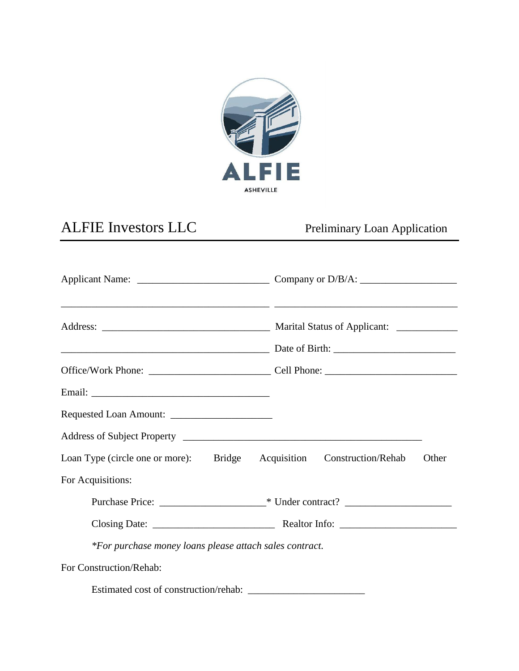

## ALFIE Investors LLC Preliminary Loan Application

| Loan Type (circle one or more): Bridge Acquisition Construction/Rehab |  |  |  | Other |
|-----------------------------------------------------------------------|--|--|--|-------|
| For Acquisitions:                                                     |  |  |  |       |
|                                                                       |  |  |  |       |
|                                                                       |  |  |  |       |
| *For purchase money loans please attach sales contract.               |  |  |  |       |
| For Construction/Rehab:                                               |  |  |  |       |
|                                                                       |  |  |  |       |

Estimated cost of construction/rehab: \_\_\_\_\_\_\_\_\_\_\_\_\_\_\_\_\_\_\_\_\_\_\_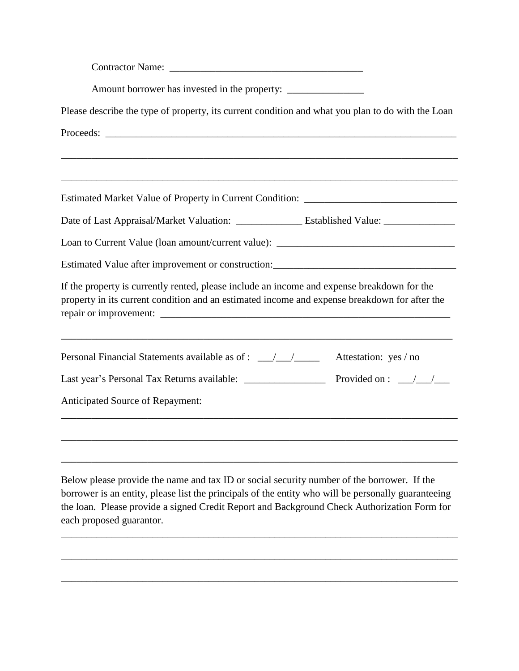| Amount borrower has invested in the property: ___________________________________                                                                                                                                                                                            |  |  |  |  |  |
|------------------------------------------------------------------------------------------------------------------------------------------------------------------------------------------------------------------------------------------------------------------------------|--|--|--|--|--|
| Please describe the type of property, its current condition and what you plan to do with the Loan                                                                                                                                                                            |  |  |  |  |  |
|                                                                                                                                                                                                                                                                              |  |  |  |  |  |
|                                                                                                                                                                                                                                                                              |  |  |  |  |  |
| Estimated Market Value of Property in Current Condition: ________________________                                                                                                                                                                                            |  |  |  |  |  |
| Date of Last Appraisal/Market Valuation: _______________ Established Value: ________________________                                                                                                                                                                         |  |  |  |  |  |
| Loan to Current Value (loan amount/current value): ______________________________                                                                                                                                                                                            |  |  |  |  |  |
| Estimated Value after improvement or construction: ______________________________                                                                                                                                                                                            |  |  |  |  |  |
| If the property is currently rented, please include an income and expense breakdown for the<br>property in its current condition and an estimated income and expense breakdown for after the                                                                                 |  |  |  |  |  |
| <u> 1980 - Johann Barbara, margaret eta idazlearia (h. 1980).</u><br>the control of the control of the control of the control of the control of the control of<br>Personal Financial Statements available as of : _________________________________<br>Attestation: yes / no |  |  |  |  |  |
|                                                                                                                                                                                                                                                                              |  |  |  |  |  |
| Anticipated Source of Repayment:                                                                                                                                                                                                                                             |  |  |  |  |  |
|                                                                                                                                                                                                                                                                              |  |  |  |  |  |
|                                                                                                                                                                                                                                                                              |  |  |  |  |  |

Below please provide the name and tax ID or social security number of the borrower. If the borrower is an entity, please list the principals of the entity who will be personally guaranteeing the loan. Please provide a signed Credit Report and Background Check Authorization Form for each proposed guarantor.

\_\_\_\_\_\_\_\_\_\_\_\_\_\_\_\_\_\_\_\_\_\_\_\_\_\_\_\_\_\_\_\_\_\_\_\_\_\_\_\_\_\_\_\_\_\_\_\_\_\_\_\_\_\_\_\_\_\_\_\_\_\_\_\_\_\_\_\_\_\_\_\_\_\_\_\_\_\_

\_\_\_\_\_\_\_\_\_\_\_\_\_\_\_\_\_\_\_\_\_\_\_\_\_\_\_\_\_\_\_\_\_\_\_\_\_\_\_\_\_\_\_\_\_\_\_\_\_\_\_\_\_\_\_\_\_\_\_\_\_\_\_\_\_\_\_\_\_\_\_\_\_\_\_\_\_\_

\_\_\_\_\_\_\_\_\_\_\_\_\_\_\_\_\_\_\_\_\_\_\_\_\_\_\_\_\_\_\_\_\_\_\_\_\_\_\_\_\_\_\_\_\_\_\_\_\_\_\_\_\_\_\_\_\_\_\_\_\_\_\_\_\_\_\_\_\_\_\_\_\_\_\_\_\_\_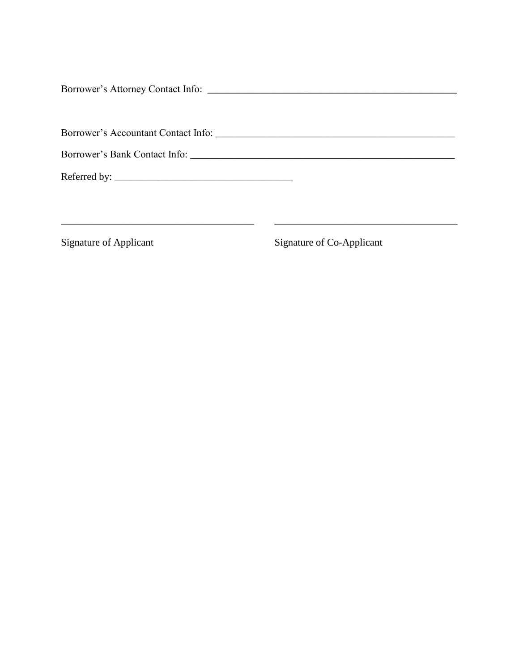\_\_\_\_\_\_\_\_\_\_\_\_\_\_\_\_\_\_\_\_\_\_\_\_\_\_\_\_\_\_\_\_\_\_\_\_\_\_ \_\_\_\_\_\_\_\_\_\_\_\_\_\_\_\_\_\_\_\_\_\_\_\_\_\_\_\_\_\_\_\_\_\_\_\_

Signature of Applicant Signature of Co-Applicant